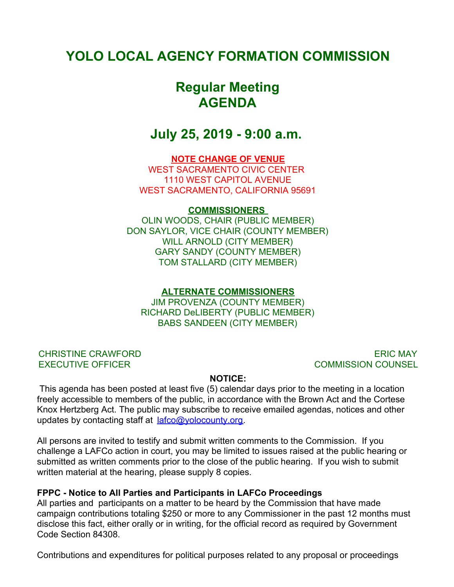## **YOLO LOCAL AGENCY FORMATION COMMISSION**

# **Regular Meeting AGENDA**

## **July 25, 2019 - 9:00 a.m.**

## **NOTE CHANGE OF VENUE**

WEST SACRAMENTO CIVIC CENTER 1110 WEST CAPITOL AVENUE WEST SACRAMENTO, CALIFORNIA 95691

### **COMMISSIONERS**

OLIN WOODS, CHAIR (PUBLIC MEMBER) DON SAYLOR, VICE CHAIR (COUNTY MEMBER) WILL ARNOLD (CITY MEMBER) GARY SANDY (COUNTY MEMBER) TOM STALLARD (CITY MEMBER)

## **ALTERNATE COMMISSIONERS**

JIM PROVENZA (COUNTY MEMBER) RICHARD DeLIBERTY (PUBLIC MEMBER) BABS SANDEEN (CITY MEMBER)

CHRISTINE CRAWFORD EXECUTIVE OFFICER

ERIC MAY COMMISSION COUNSEL

### **NOTICE:**

 This agenda has been posted at least five (5) calendar days prior to the meeting in a location freely accessible to members of the public, in accordance with the Brown Act and the Cortese Knox Hertzberg Act. The public may subscribe to receive emailed agendas, notices and other updates by contacting staff at  $l$ afco@yolocounty.org.

All persons are invited to testify and submit written comments to the Commission. If you challenge a LAFCo action in court, you may be limited to issues raised at the public hearing or submitted as written comments prior to the close of the public hearing. If you wish to submit written material at the hearing, please supply 8 copies.

### **FPPC - Notice to All Parties and Participants in LAFCo Proceedings**

All parties and participants on a matter to be heard by the Commission that have made campaign contributions totaling \$250 or more to any Commissioner in the past 12 months must disclose this fact, either orally or in writing, for the official record as required by Government Code Section 84308.

Contributions and expenditures for political purposes related to any proposal or proceedings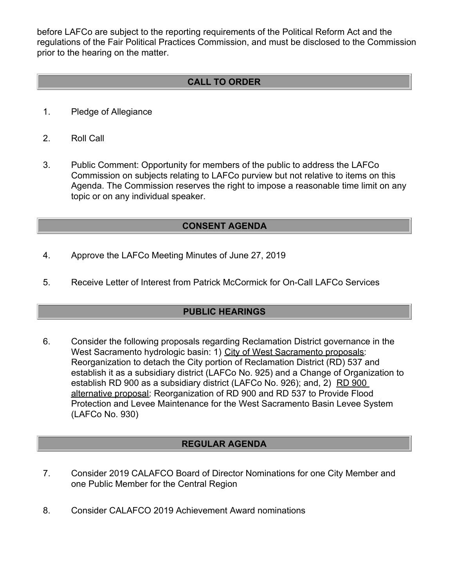before LAFCo are subject to the reporting requirements of the Political Reform Act and the regulations of the Fair Political Practices Commission, and must be disclosed to the Commission prior to the hearing on the matter.

## **CALL TO ORDER**

- 1. Pledge of Allegiance
- 2. Roll Call
- 3. Public Comment: Opportunity for members of the public to address the LAFCo Commission on subjects relating to LAFCo purview but not relative to items on this Agenda. The Commission reserves the right to impose a reasonable time limit on any topic or on any individual speaker.

## **CONSENT AGENDA**

- 4. Approve the LAFCo Meeting Minutes of June 27, 2019
- 5. Receive Letter of Interest from Patrick McCormick for On-Call LAFCo Services

### **PUBLIC HEARINGS**

6. Consider the following proposals regarding Reclamation District governance in the West Sacramento hydrologic basin: 1) City of West Sacramento proposals: Reorganization to detach the City portion of Reclamation District (RD) 537 and establish it as a subsidiary district (LAFCo No. 925) and a Change of Organization to establish RD 900 as a subsidiary district (LAFCo No. 926); and, 2) RD 900 alternative proposal: Reorganization of RD 900 and RD 537 to Provide Flood Protection and Levee Maintenance for the West Sacramento Basin Levee System (LAFCo No. 930)

## **REGULAR AGENDA**

- 7. Consider 2019 CALAFCO Board of Director Nominations for one City Member and one Public Member for the Central Region
- 8. Consider CALAFCO 2019 Achievement Award nominations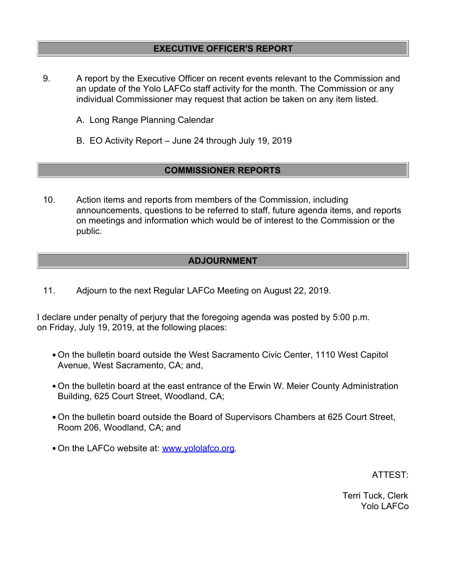## **EXECUTIVE OFFICER'S REPORT**

- 9. A report by the Executive Officer on recent events relevant to the Commission and an update of the Yolo LAFCo staff activity for the month. The Commission or any individual Commissioner may request that action be taken on any item listed.
	- A. Long Range Planning Calendar
	- B. EO Activity Report June 24 through July 19, 2019

## **COMMISSIONER REPORTS**

10. Action items and reports from members of the Commission, including announcements, questions to be referred to staff, future agenda items, and reports on meetings and information which would be of interest to the Commission or the public.

### **ADJOURNMENT**

11. Adjourn to the next Regular LAFCo Meeting on August 22, 2019.

I declare under penalty of perjury that the foregoing agenda was posted by 5:00 p.m. on Friday, July 19, 2019, at the following places:

- On the bulletin board outside the West Sacramento Civic Center, 1110 West Capitol Avenue, West Sacramento, CA; and,
- On the bulletin board at the east entrance of the Erwin W. Meier County Administration Building, 625 Court Street, Woodland, CA;
- On the bulletin board outside the Board of Supervisors Chambers at 625 Court Street, Room 206, Woodland, CA; and
- . On the LAFCo website at: [www.yololafco.org](http://www.yololafco.org).

ATTEST:

Terri Tuck, Clerk Yolo LAFCo